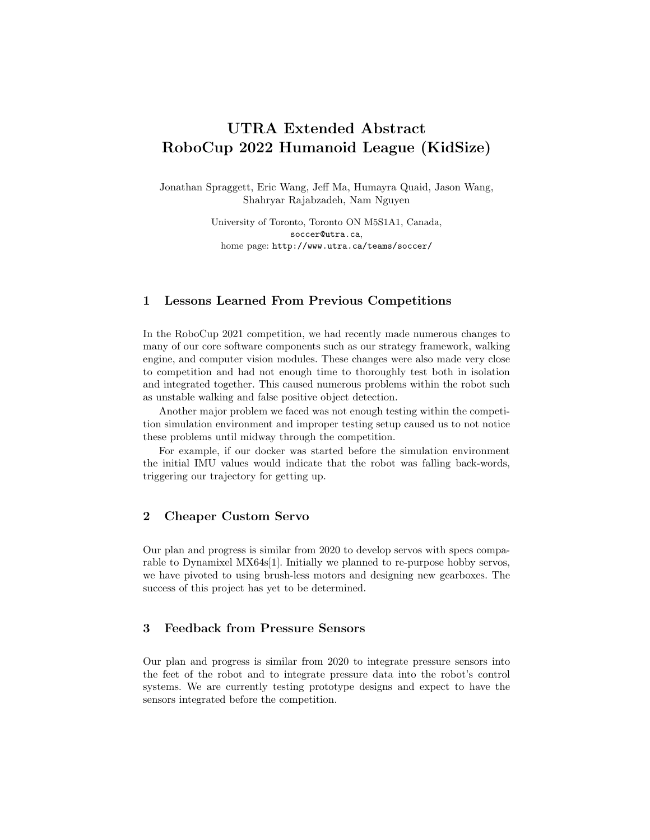# UTRA Extended Abstract RoboCup 2022 Humanoid League (KidSize)

Jonathan Spraggett, Eric Wang, Jeff Ma, Humayra Quaid, Jason Wang, Shahryar Rajabzadeh, Nam Nguyen

> University of Toronto, Toronto ON M5S1A1, Canada, soccer@utra.ca, home page: http://www.utra.ca/teams/soccer/

### 1 Lessons Learned From Previous Competitions

In the RoboCup 2021 competition, we had recently made numerous changes to many of our core software components such as our strategy framework, walking engine, and computer vision modules. These changes were also made very close to competition and had not enough time to thoroughly test both in isolation and integrated together. This caused numerous problems within the robot such as unstable walking and false positive object detection.

Another major problem we faced was not enough testing within the competition simulation environment and improper testing setup caused us to not notice these problems until midway through the competition.

For example, if our docker was started before the simulation environment the initial IMU values would indicate that the robot was falling back-words, triggering our trajectory for getting up.

## 2 Cheaper Custom Servo

Our plan and progress is similar from 2020 to develop servos with specs comparable to Dynamixel MX64s[1]. Initially we planned to re-purpose hobby servos, we have pivoted to using brush-less motors and designing new gearboxes. The success of this project has yet to be determined.

## 3 Feedback from Pressure Sensors

Our plan and progress is similar from 2020 to integrate pressure sensors into the feet of the robot and to integrate pressure data into the robot's control systems. We are currently testing prototype designs and expect to have the sensors integrated before the competition.